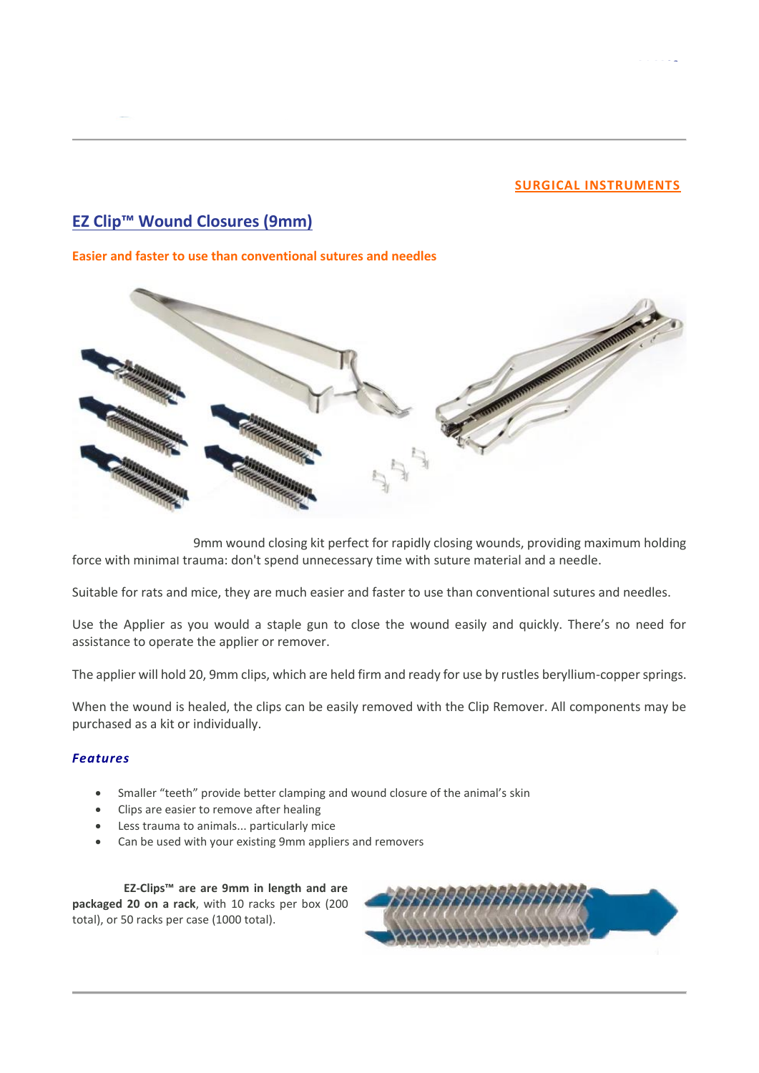### **[SURGICAL INSTRUMENTS](https://stoeltingco.com/Neuroscience/Surgical-Instruments)**

# **EZ Clip™ [Wound Closures](https://stoeltingco.com/Neuroscience/EZ-Clip-Wound-Closures~9813?navigate_from_document=126) (9mm)**

#### **Easier and faster to use than conventional sutures and needles**



9mm wound closing kit perfect for rapidly closing wounds, providing maximum holding force with minimal trauma: don't spend unnecessary time with suture material and a needle.

Suitable for rats and mice, they are much easier and faster to use than conventional sutures and needles.

Use the Applier as you would a staple gun to close the wound easily and quickly. There's no need for assistance to operate the applier or remover.

The applier will hold 20, 9mm clips, which are held firm and ready for use by rustles beryllium-copper springs.

When the wound is healed, the clips can be easily removed with the Clip Remover. All components may be purchased as a kit or individually.

#### *Features*

- Smaller "teeth" provide better clamping and wound closure of the animal's skin
- Clips are easier to remove after healing
- Less trauma to animals... particularly mice
- Can be used with your existing 9mm appliers and removers

**Stoelting EZ-Clips™ are are 9mm in length and are packaged 20 on a rack**, with 10 racks per box (200 total), or 50 racks per case (1000 total).

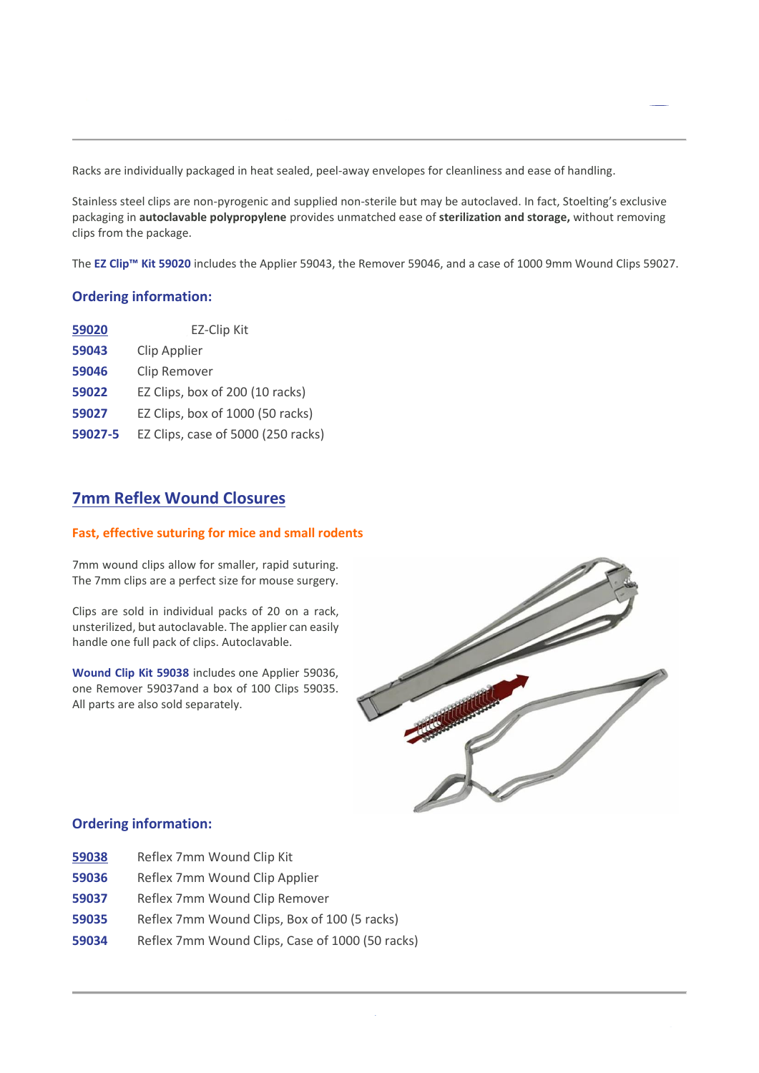Racks are individually packaged in heat sealed, peel-away envelopes for cleanliness and ease of handling.

Stainless steel clips are non-pyrogenic and supplied non-sterile but may be autoclaved. In fact, Stoelting's exclusive packaging in **autoclavable polypropylene** provides unmatched ease of **sterilization and storage,** without removing clips from the package.

The **EZ Clip™ Kit 59020** includes the Applier 59043, the Remover 59046, and a case of 1000 9mm Wound Clips 59027.

# **Ordering information:**

| 59020   | <b>EZ-Clip Kit</b>                 |
|---------|------------------------------------|
| 59043   | Clip Applier                       |
| 59046   | Clip Remover                       |
| 59022   | EZ Clips, box of 200 (10 racks)    |
| 59027   | EZ Clips, box of 1000 (50 racks)   |
| 59027-5 | EZ Clips, case of 5000 (250 racks) |

# **7mm [Reflex Wound Closures](https://stoeltingco.com/Neuroscience/Reflex-Wound-Closures~9814?navigate_from_document=126)**

### **Fast, effective suturing for mice and small rodents**

7mm wound clips allow for smaller, rapid suturing. The 7mm clips are a perfect size for mouse surgery.

Clips are sold in individual packs of 20 on a rack, unsterilized, but autoclavable. The applier can easily handle one full pack of clips. Autoclavable.

**Wound Clip Kit 59038** includes one Applier 59036, one Remover 59037and a box of 100 Clips 59035. All parts are also sold separately.



# **Ordering information:**

- **[59038](https://stoeltingco.com/Neuroscience/Autoclip-Wound-Closures~9812?navigate_from_document=126)** Reflex 7mm Wound Clip Kit
- **59036** Reflex 7mm Wound Clip Applier
- **59037** Reflex 7mm Wound Clip Remover
- **59035** Reflex 7mm Wound Clips, Box of 100 (5 racks)
- **59034** Reflex 7mm Wound Clips, Case of 1000 (50 racks)

**Wound Closure Systems** rev 21/07/2021 pag. 2